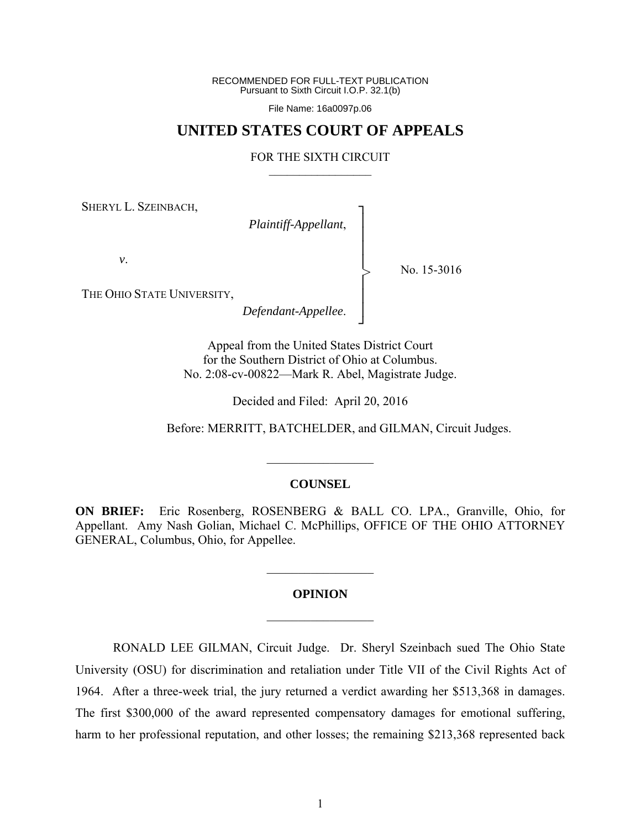RECOMMENDED FOR FULL-TEXT PUBLICATION Pursuant to Sixth Circuit I.O.P. 32.1(b)

File Name: 16a0097p.06

## **UNITED STATES COURT OF APPEALS**

#### FOR THE SIXTH CIRCUIT  $\mathcal{L}_\text{max}$

┐ │ │ │ │ │ │ │ ┘

>

SHERYL L. SZEINBACH,

*Plaintiff-Appellant*,

*v*.

No. 15-3016

THE OHIO STATE UNIVERSITY,

*Defendant-Appellee*.

Appeal from the United States District Court for the Southern District of Ohio at Columbus. No. 2:08-cv-00822—Mark R. Abel, Magistrate Judge.

Decided and Filed: April 20, 2016

Before: MERRITT, BATCHELDER, and GILMAN, Circuit Judges.

#### **COUNSEL**

 $\frac{1}{2}$ 

**ON BRIEF:** Eric Rosenberg, ROSENBERG & BALL CO. LPA., Granville, Ohio, for Appellant. Amy Nash Golian, Michael C. McPhillips, OFFICE OF THE OHIO ATTORNEY GENERAL, Columbus, Ohio, for Appellee.

# **OPINION**   $\frac{1}{2}$

 $\frac{1}{2}$ 

RONALD LEE GILMAN, Circuit Judge.Dr. Sheryl Szeinbach sued The Ohio State University (OSU) for discrimination and retaliation under Title VII of the Civil Rights Act of 1964. After a three-week trial, the jury returned a verdict awarding her \$513,368 in damages. The first \$300,000 of the award represented compensatory damages for emotional suffering, harm to her professional reputation, and other losses; the remaining \$213,368 represented back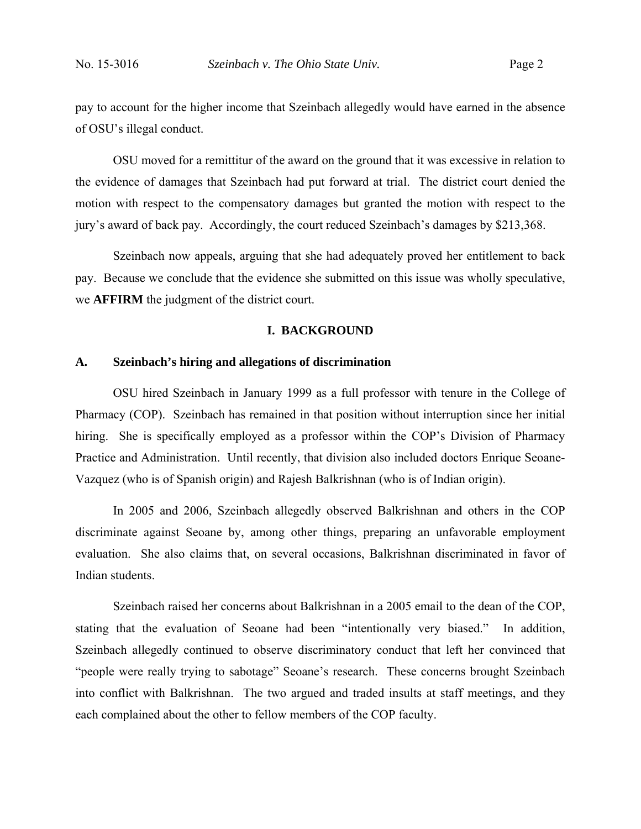pay to account for the higher income that Szeinbach allegedly would have earned in the absence of OSU's illegal conduct.

OSU moved for a remittitur of the award on the ground that it was excessive in relation to the evidence of damages that Szeinbach had put forward at trial. The district court denied the motion with respect to the compensatory damages but granted the motion with respect to the jury's award of back pay. Accordingly, the court reduced Szeinbach's damages by \$213,368.

Szeinbach now appeals, arguing that she had adequately proved her entitlement to back pay. Because we conclude that the evidence she submitted on this issue was wholly speculative, we **AFFIRM** the judgment of the district court.

#### **I. BACKGROUND**

#### **A. Szeinbach's hiring and allegations of discrimination**

OSU hired Szeinbach in January 1999 as a full professor with tenure in the College of Pharmacy (COP). Szeinbach has remained in that position without interruption since her initial hiring. She is specifically employed as a professor within the COP's Division of Pharmacy Practice and Administration. Until recently, that division also included doctors Enrique Seoane-Vazquez (who is of Spanish origin) and Rajesh Balkrishnan (who is of Indian origin).

In 2005 and 2006, Szeinbach allegedly observed Balkrishnan and others in the COP discriminate against Seoane by, among other things, preparing an unfavorable employment evaluation. She also claims that, on several occasions, Balkrishnan discriminated in favor of Indian students.

Szeinbach raised her concerns about Balkrishnan in a 2005 email to the dean of the COP, stating that the evaluation of Seoane had been "intentionally very biased." In addition, Szeinbach allegedly continued to observe discriminatory conduct that left her convinced that "people were really trying to sabotage" Seoane's research. These concerns brought Szeinbach into conflict with Balkrishnan. The two argued and traded insults at staff meetings, and they each complained about the other to fellow members of the COP faculty.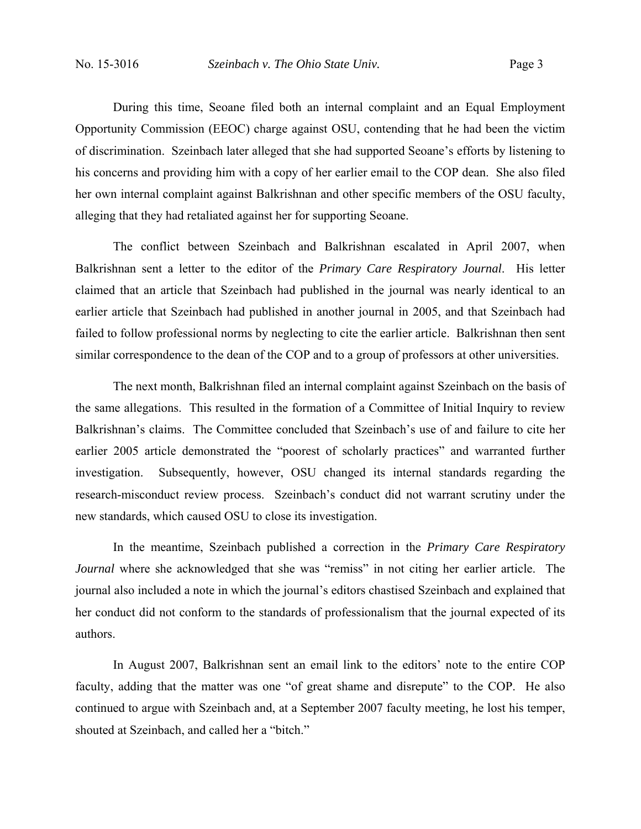During this time, Seoane filed both an internal complaint and an Equal Employment Opportunity Commission (EEOC) charge against OSU, contending that he had been the victim of discrimination. Szeinbach later alleged that she had supported Seoane's efforts by listening to his concerns and providing him with a copy of her earlier email to the COP dean. She also filed her own internal complaint against Balkrishnan and other specific members of the OSU faculty, alleging that they had retaliated against her for supporting Seoane.

The conflict between Szeinbach and Balkrishnan escalated in April 2007, when Balkrishnan sent a letter to the editor of the *Primary Care Respiratory Journal*. His letter claimed that an article that Szeinbach had published in the journal was nearly identical to an earlier article that Szeinbach had published in another journal in 2005, and that Szeinbach had failed to follow professional norms by neglecting to cite the earlier article. Balkrishnan then sent similar correspondence to the dean of the COP and to a group of professors at other universities.

The next month, Balkrishnan filed an internal complaint against Szeinbach on the basis of the same allegations. This resulted in the formation of a Committee of Initial Inquiry to review Balkrishnan's claims. The Committee concluded that Szeinbach's use of and failure to cite her earlier 2005 article demonstrated the "poorest of scholarly practices" and warranted further investigation. Subsequently, however, OSU changed its internal standards regarding the research-misconduct review process. Szeinbach's conduct did not warrant scrutiny under the new standards, which caused OSU to close its investigation.

In the meantime, Szeinbach published a correction in the *Primary Care Respiratory Journal* where she acknowledged that she was "remiss" in not citing her earlier article. The journal also included a note in which the journal's editors chastised Szeinbach and explained that her conduct did not conform to the standards of professionalism that the journal expected of its authors.

In August 2007, Balkrishnan sent an email link to the editors' note to the entire COP faculty, adding that the matter was one "of great shame and disrepute" to the COP. He also continued to argue with Szeinbach and, at a September 2007 faculty meeting, he lost his temper, shouted at Szeinbach, and called her a "bitch."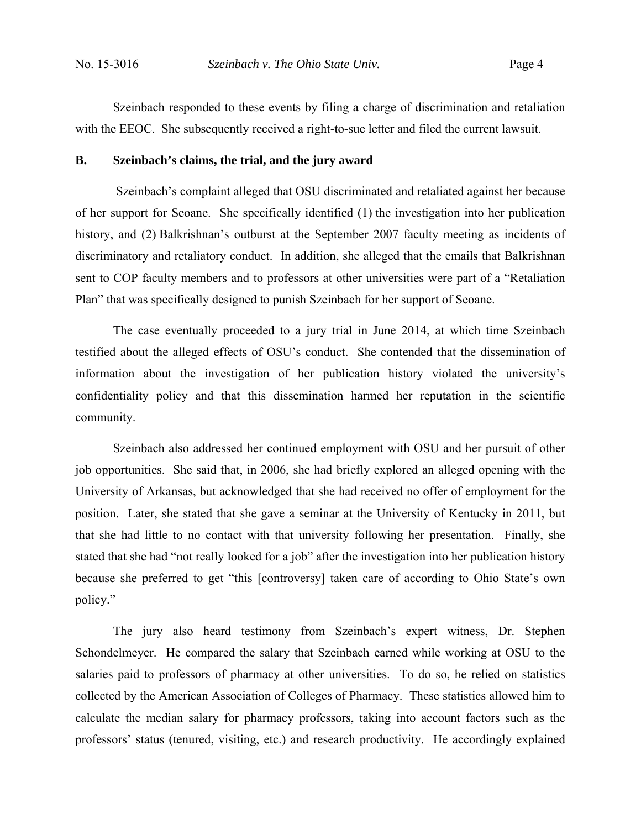Szeinbach responded to these events by filing a charge of discrimination and retaliation with the EEOC. She subsequently received a right-to-sue letter and filed the current lawsuit.

#### **B. Szeinbach's claims, the trial, and the jury award**

 Szeinbach's complaint alleged that OSU discriminated and retaliated against her because of her support for Seoane. She specifically identified (1) the investigation into her publication history, and (2) Balkrishnan's outburst at the September 2007 faculty meeting as incidents of discriminatory and retaliatory conduct. In addition, she alleged that the emails that Balkrishnan sent to COP faculty members and to professors at other universities were part of a "Retaliation Plan" that was specifically designed to punish Szeinbach for her support of Seoane.

 The case eventually proceeded to a jury trial in June 2014, at which time Szeinbach testified about the alleged effects of OSU's conduct. She contended that the dissemination of information about the investigation of her publication history violated the university's confidentiality policy and that this dissemination harmed her reputation in the scientific community.

 Szeinbach also addressed her continued employment with OSU and her pursuit of other job opportunities. She said that, in 2006, she had briefly explored an alleged opening with the University of Arkansas, but acknowledged that she had received no offer of employment for the position. Later, she stated that she gave a seminar at the University of Kentucky in 2011, but that she had little to no contact with that university following her presentation. Finally, she stated that she had "not really looked for a job" after the investigation into her publication history because she preferred to get "this [controversy] taken care of according to Ohio State's own policy."

 The jury also heard testimony from Szeinbach's expert witness, Dr. Stephen Schondelmeyer. He compared the salary that Szeinbach earned while working at OSU to the salaries paid to professors of pharmacy at other universities. To do so, he relied on statistics collected by the American Association of Colleges of Pharmacy. These statistics allowed him to calculate the median salary for pharmacy professors, taking into account factors such as the professors' status (tenured, visiting, etc.) and research productivity. He accordingly explained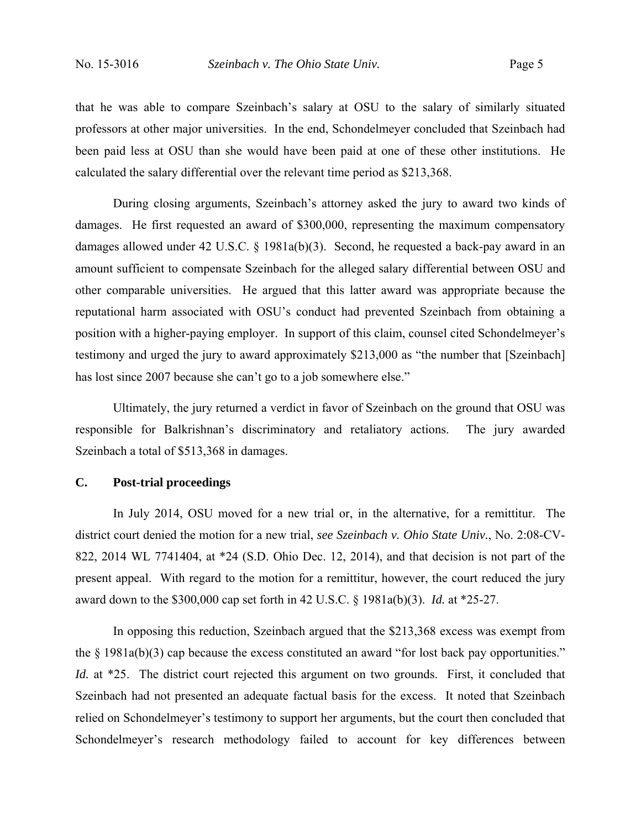that he was able to compare Szeinbach's salary at OSU to the salary of similarly situated professors at other major universities. In the end, Schondelmeyer concluded that Szeinbach had been paid less at OSU than she would have been paid at one of these other institutions. He calculated the salary differential over the relevant time period as \$213,368.

 During closing arguments, Szeinbach's attorney asked the jury to award two kinds of damages. He first requested an award of \$300,000, representing the maximum compensatory damages allowed under 42 U.S.C. § 1981a(b)(3). Second, he requested a back-pay award in an amount sufficient to compensate Szeinbach for the alleged salary differential between OSU and other comparable universities. He argued that this latter award was appropriate because the reputational harm associated with OSU's conduct had prevented Szeinbach from obtaining a position with a higher-paying employer. In support of this claim, counsel cited Schondelmeyer's testimony and urged the jury to award approximately \$213,000 as "the number that [Szeinbach] has lost since 2007 because she can't go to a job somewhere else."

 Ultimately, the jury returned a verdict in favor of Szeinbach on the ground that OSU was responsible for Balkrishnan's discriminatory and retaliatory actions. The jury awarded Szeinbach a total of \$513,368 in damages.

#### **C. Post-trial proceedings**

 In July 2014, OSU moved for a new trial or, in the alternative, for a remittitur. The district court denied the motion for a new trial, *see Szeinbach v. Ohio State Univ.*, No. 2:08-CV-822, 2014 WL 7741404, at \*24 (S.D. Ohio Dec. 12, 2014), and that decision is not part of the present appeal. With regard to the motion for a remittitur, however, the court reduced the jury award down to the \$300,000 cap set forth in 42 U.S.C. § 1981a(b)(3). *Id.* at \*25-27.

 In opposing this reduction, Szeinbach argued that the \$213,368 excess was exempt from the § 1981a(b)(3) cap because the excess constituted an award "for lost back pay opportunities." *Id.* at \*25. The district court rejected this argument on two grounds. First, it concluded that Szeinbach had not presented an adequate factual basis for the excess. It noted that Szeinbach relied on Schondelmeyer's testimony to support her arguments, but the court then concluded that Schondelmeyer's research methodology failed to account for key differences between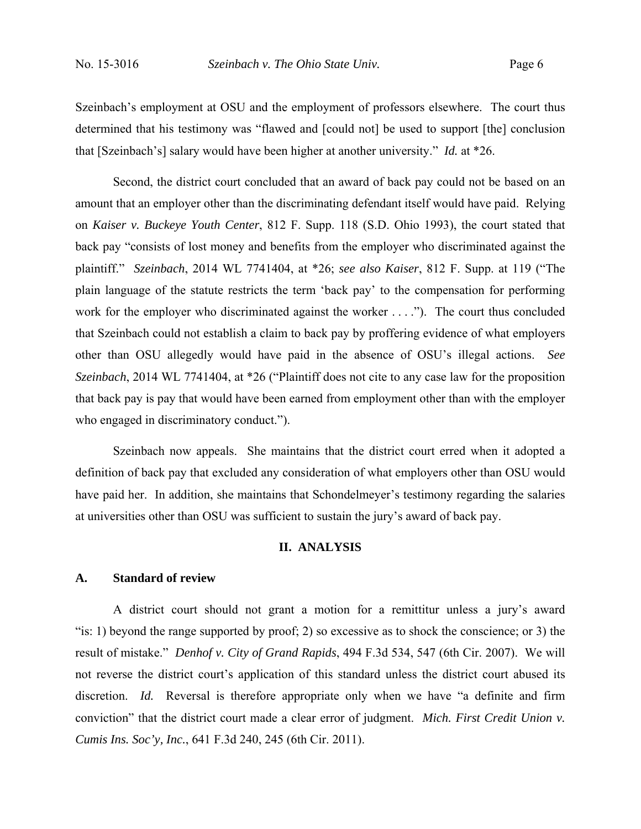Szeinbach's employment at OSU and the employment of professors elsewhere. The court thus determined that his testimony was "flawed and [could not] be used to support [the] conclusion that [Szeinbach's] salary would have been higher at another university." *Id.* at \*26.

 Second, the district court concluded that an award of back pay could not be based on an amount that an employer other than the discriminating defendant itself would have paid. Relying on *Kaiser v. Buckeye Youth Center*, 812 F. Supp. 118 (S.D. Ohio 1993), the court stated that back pay "consists of lost money and benefits from the employer who discriminated against the plaintiff." *Szeinbach*, 2014 WL 7741404, at \*26; *see also Kaiser*, 812 F. Supp. at 119 ("The plain language of the statute restricts the term 'back pay' to the compensation for performing work for the employer who discriminated against the worker . . . ."). The court thus concluded that Szeinbach could not establish a claim to back pay by proffering evidence of what employers other than OSU allegedly would have paid in the absence of OSU's illegal actions. *See Szeinbach*, 2014 WL 7741404, at \*26 ("Plaintiff does not cite to any case law for the proposition that back pay is pay that would have been earned from employment other than with the employer who engaged in discriminatory conduct.").

 Szeinbach now appeals. She maintains that the district court erred when it adopted a definition of back pay that excluded any consideration of what employers other than OSU would have paid her. In addition, she maintains that Schondelmeyer's testimony regarding the salaries at universities other than OSU was sufficient to sustain the jury's award of back pay.

#### **II. ANALYSIS**

#### **A. Standard of review**

A district court should not grant a motion for a remittitur unless a jury's award "is: 1) beyond the range supported by proof; 2) so excessive as to shock the conscience; or 3) the result of mistake." *Denhof v. City of Grand Rapids*, 494 F.3d 534, 547 (6th Cir. 2007). We will not reverse the district court's application of this standard unless the district court abused its discretion. *Id.* Reversal is therefore appropriate only when we have "a definite and firm conviction" that the district court made a clear error of judgment. *Mich. First Credit Union v. Cumis Ins. Soc'y, Inc.*, 641 F.3d 240, 245 (6th Cir. 2011).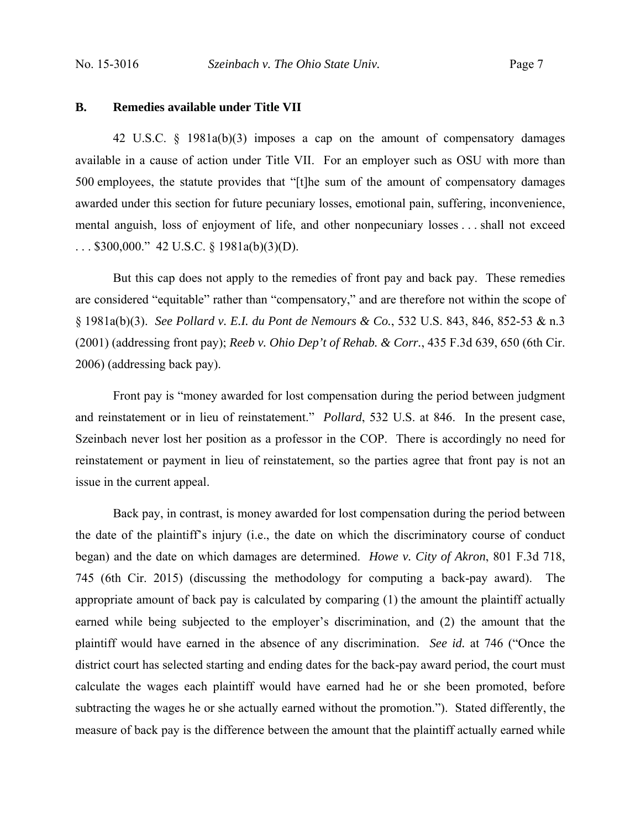#### **B. Remedies available under Title VII**

42 U.S.C. § 1981a(b)(3) imposes a cap on the amount of compensatory damages available in a cause of action under Title VII. For an employer such as OSU with more than 500 employees, the statute provides that "[t]he sum of the amount of compensatory damages awarded under this section for future pecuniary losses, emotional pain, suffering, inconvenience, mental anguish, loss of enjoyment of life, and other nonpecuniary losses . . . shall not exceed . . . \$300,000." 42 U.S.C. § 1981a(b)(3)(D).

But this cap does not apply to the remedies of front pay and back pay. These remedies are considered "equitable" rather than "compensatory," and are therefore not within the scope of § 1981a(b)(3). *See Pollard v. E.I. du Pont de Nemours & Co.*, 532 U.S. 843, 846, 852-53 & n.3 (2001) (addressing front pay); *Reeb v. Ohio Dep't of Rehab. & Corr.*, 435 F.3d 639, 650 (6th Cir. 2006) (addressing back pay).

Front pay is "money awarded for lost compensation during the period between judgment and reinstatement or in lieu of reinstatement." *Pollard*, 532 U.S. at 846. In the present case, Szeinbach never lost her position as a professor in the COP. There is accordingly no need for reinstatement or payment in lieu of reinstatement, so the parties agree that front pay is not an issue in the current appeal.

Back pay, in contrast, is money awarded for lost compensation during the period between the date of the plaintiff's injury (i.e., the date on which the discriminatory course of conduct began) and the date on which damages are determined. *Howe v. City of Akron*, 801 F.3d 718, 745 (6th Cir. 2015) (discussing the methodology for computing a back-pay award). The appropriate amount of back pay is calculated by comparing (1) the amount the plaintiff actually earned while being subjected to the employer's discrimination, and (2) the amount that the plaintiff would have earned in the absence of any discrimination. *See id.* at 746 ("Once the district court has selected starting and ending dates for the back-pay award period, the court must calculate the wages each plaintiff would have earned had he or she been promoted, before subtracting the wages he or she actually earned without the promotion."). Stated differently, the measure of back pay is the difference between the amount that the plaintiff actually earned while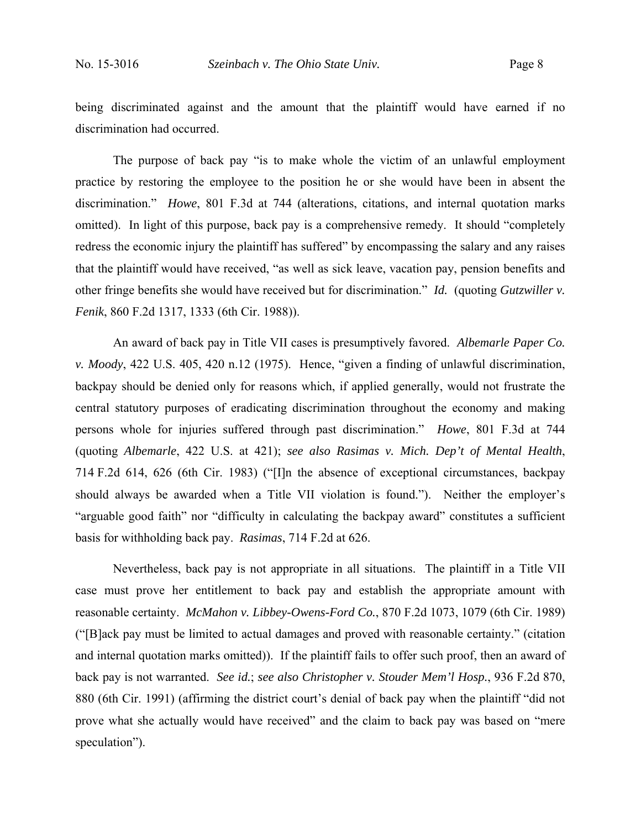being discriminated against and the amount that the plaintiff would have earned if no discrimination had occurred.

The purpose of back pay "is to make whole the victim of an unlawful employment practice by restoring the employee to the position he or she would have been in absent the discrimination." *Howe*, 801 F.3d at 744 (alterations, citations, and internal quotation marks omitted). In light of this purpose, back pay is a comprehensive remedy. It should "completely redress the economic injury the plaintiff has suffered" by encompassing the salary and any raises that the plaintiff would have received, "as well as sick leave, vacation pay, pension benefits and other fringe benefits she would have received but for discrimination." *Id.* (quoting *Gutzwiller v. Fenik*, 860 F.2d 1317, 1333 (6th Cir. 1988)).

An award of back pay in Title VII cases is presumptively favored. *Albemarle Paper Co. v. Moody*, 422 U.S. 405, 420 n.12 (1975). Hence, "given a finding of unlawful discrimination, backpay should be denied only for reasons which, if applied generally, would not frustrate the central statutory purposes of eradicating discrimination throughout the economy and making persons whole for injuries suffered through past discrimination." *Howe*, 801 F.3d at 744 (quoting *Albemarle*, 422 U.S. at 421); *see also Rasimas v. Mich. Dep't of Mental Health*, 714 F.2d 614, 626 (6th Cir. 1983) ("[I]n the absence of exceptional circumstances, backpay should always be awarded when a Title VII violation is found."). Neither the employer's "arguable good faith" nor "difficulty in calculating the backpay award" constitutes a sufficient basis for withholding back pay. *Rasimas*, 714 F.2d at 626.

Nevertheless, back pay is not appropriate in all situations. The plaintiff in a Title VII case must prove her entitlement to back pay and establish the appropriate amount with reasonable certainty. *McMahon v. Libbey-Owens-Ford Co.*, 870 F.2d 1073, 1079 (6th Cir. 1989) ("[B]ack pay must be limited to actual damages and proved with reasonable certainty." (citation and internal quotation marks omitted)). If the plaintiff fails to offer such proof, then an award of back pay is not warranted. *See id.*; *see also Christopher v. Stouder Mem'l Hosp.*, 936 F.2d 870, 880 (6th Cir. 1991) (affirming the district court's denial of back pay when the plaintiff "did not prove what she actually would have received" and the claim to back pay was based on "mere speculation").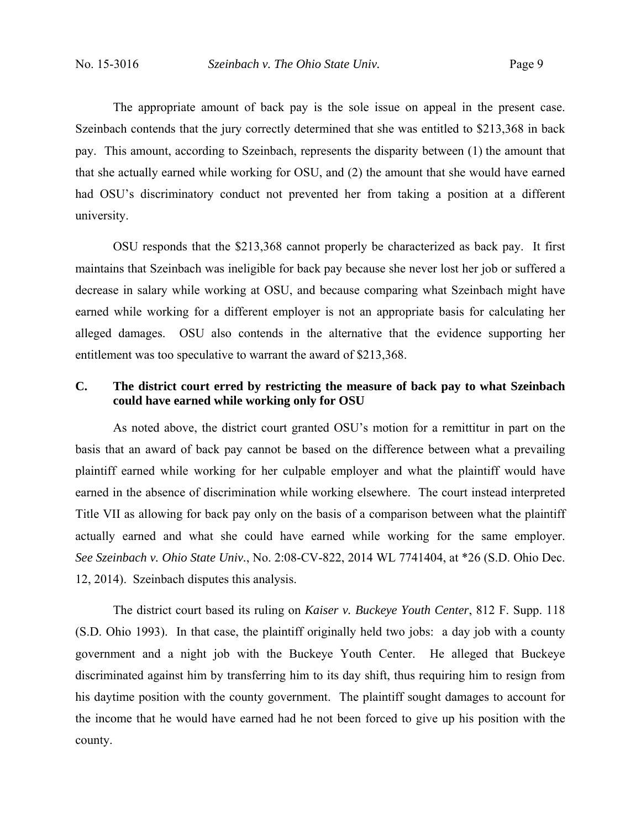The appropriate amount of back pay is the sole issue on appeal in the present case. Szeinbach contends that the jury correctly determined that she was entitled to \$213,368 in back pay. This amount, according to Szeinbach, represents the disparity between (1) the amount that that she actually earned while working for OSU, and (2) the amount that she would have earned had OSU's discriminatory conduct not prevented her from taking a position at a different university.

 OSU responds that the \$213,368 cannot properly be characterized as back pay. It first maintains that Szeinbach was ineligible for back pay because she never lost her job or suffered a decrease in salary while working at OSU, and because comparing what Szeinbach might have earned while working for a different employer is not an appropriate basis for calculating her alleged damages. OSU also contends in the alternative that the evidence supporting her entitlement was too speculative to warrant the award of \$213,368.

## **C. The district court erred by restricting the measure of back pay to what Szeinbach could have earned while working only for OSU**

As noted above, the district court granted OSU's motion for a remittitur in part on the basis that an award of back pay cannot be based on the difference between what a prevailing plaintiff earned while working for her culpable employer and what the plaintiff would have earned in the absence of discrimination while working elsewhere. The court instead interpreted Title VII as allowing for back pay only on the basis of a comparison between what the plaintiff actually earned and what she could have earned while working for the same employer. *See Szeinbach v. Ohio State Univ.*, No. 2:08-CV-822, 2014 WL 7741404, at \*26 (S.D. Ohio Dec. 12, 2014). Szeinbach disputes this analysis.

The district court based its ruling on *Kaiser v. Buckeye Youth Center*, 812 F. Supp. 118 (S.D. Ohio 1993). In that case, the plaintiff originally held two jobs: a day job with a county government and a night job with the Buckeye Youth Center. He alleged that Buckeye discriminated against him by transferring him to its day shift, thus requiring him to resign from his daytime position with the county government. The plaintiff sought damages to account for the income that he would have earned had he not been forced to give up his position with the county.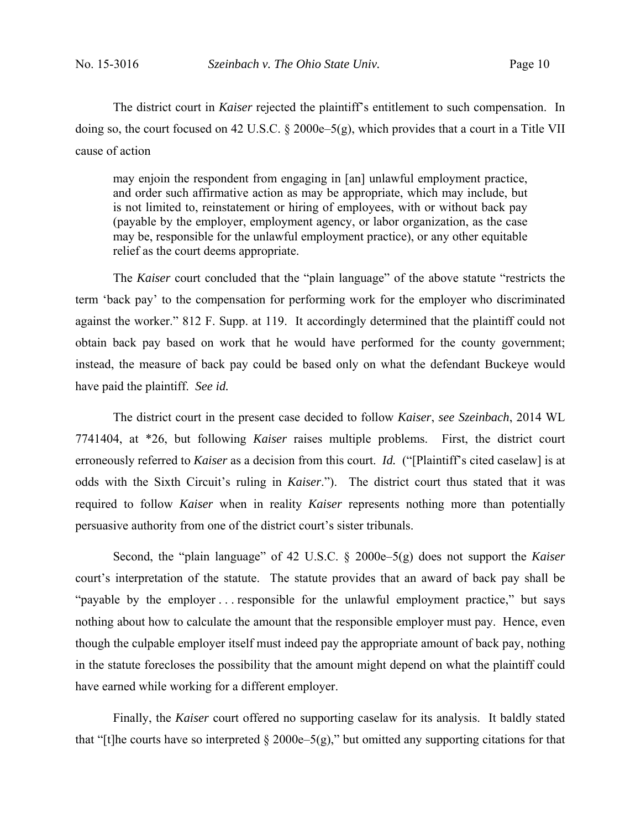The district court in *Kaiser* rejected the plaintiff's entitlement to such compensation. In doing so, the court focused on 42 U.S.C. § 2000e–5(g), which provides that a court in a Title VII cause of action

may enjoin the respondent from engaging in [an] unlawful employment practice, and order such affirmative action as may be appropriate, which may include, but is not limited to, reinstatement or hiring of employees, with or without back pay (payable by the employer, employment agency, or labor organization, as the case may be, responsible for the unlawful employment practice), or any other equitable relief as the court deems appropriate.

The *Kaiser* court concluded that the "plain language" of the above statute "restricts the term 'back pay' to the compensation for performing work for the employer who discriminated against the worker." 812 F. Supp. at 119. It accordingly determined that the plaintiff could not obtain back pay based on work that he would have performed for the county government; instead, the measure of back pay could be based only on what the defendant Buckeye would have paid the plaintiff. *See id.*

 The district court in the present case decided to follow *Kaiser*, *see Szeinbach*, 2014 WL 7741404, at \*26, but following *Kaiser* raises multiple problems. First, the district court erroneously referred to *Kaiser* as a decision from this court. *Id.* ("[Plaintiff's cited caselaw] is at odds with the Sixth Circuit's ruling in *Kaiser*."). The district court thus stated that it was required to follow *Kaiser* when in reality *Kaiser* represents nothing more than potentially persuasive authority from one of the district court's sister tribunals.

 Second, the "plain language" of 42 U.S.C. § 2000e–5(g) does not support the *Kaiser* court's interpretation of the statute. The statute provides that an award of back pay shall be "payable by the employer . . . responsible for the unlawful employment practice," but says nothing about how to calculate the amount that the responsible employer must pay. Hence, even though the culpable employer itself must indeed pay the appropriate amount of back pay, nothing in the statute forecloses the possibility that the amount might depend on what the plaintiff could have earned while working for a different employer.

 Finally, the *Kaiser* court offered no supporting caselaw for its analysis. It baldly stated that "[t]he courts have so interpreted  $\S 2000e-5(g)$ ," but omitted any supporting citations for that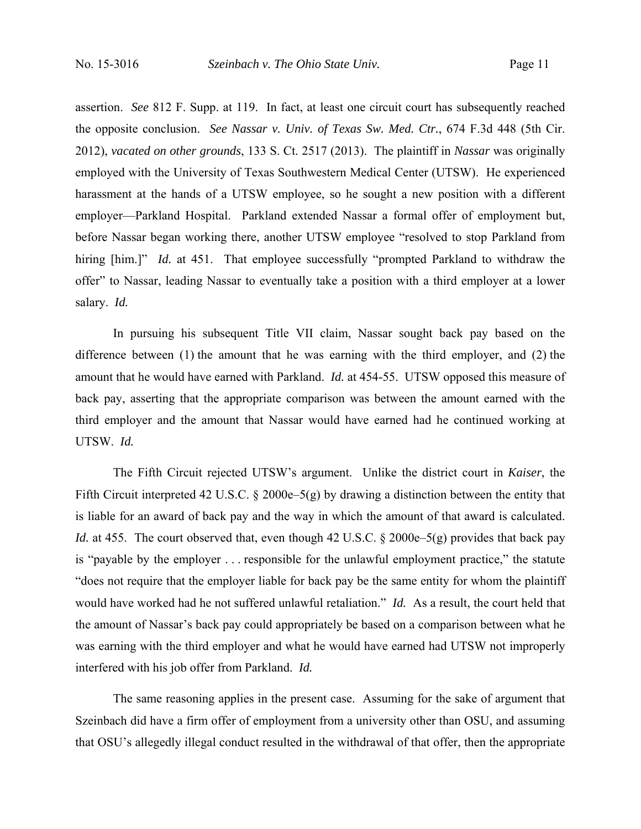assertion. *See* 812 F. Supp. at 119. In fact, at least one circuit court has subsequently reached the opposite conclusion. *See Nassar v. Univ. of Texas Sw. Med. Ctr.*, 674 F.3d 448 (5th Cir. 2012), *vacated on other grounds*, 133 S. Ct. 2517 (2013). The plaintiff in *Nassar* was originally employed with the University of Texas Southwestern Medical Center (UTSW). He experienced harassment at the hands of a UTSW employee, so he sought a new position with a different employer—Parkland Hospital. Parkland extended Nassar a formal offer of employment but, before Nassar began working there, another UTSW employee "resolved to stop Parkland from hiring [him.]" *Id.* at 451. That employee successfully "prompted Parkland to withdraw the offer" to Nassar, leading Nassar to eventually take a position with a third employer at a lower salary. *Id.* 

 In pursuing his subsequent Title VII claim, Nassar sought back pay based on the difference between (1) the amount that he was earning with the third employer, and (2) the amount that he would have earned with Parkland. *Id.* at 454-55. UTSW opposed this measure of back pay, asserting that the appropriate comparison was between the amount earned with the third employer and the amount that Nassar would have earned had he continued working at UTSW. *Id.*

The Fifth Circuit rejected UTSW's argument. Unlike the district court in *Kaiser*, the Fifth Circuit interpreted 42 U.S.C. § 2000e–5(g) by drawing a distinction between the entity that is liable for an award of back pay and the way in which the amount of that award is calculated. *Id.* at 455. The court observed that, even though 42 U.S.C. § 2000e–5(g) provides that back pay is "payable by the employer . . . responsible for the unlawful employment practice," the statute "does not require that the employer liable for back pay be the same entity for whom the plaintiff would have worked had he not suffered unlawful retaliation." *Id.* As a result, the court held that the amount of Nassar's back pay could appropriately be based on a comparison between what he was earning with the third employer and what he would have earned had UTSW not improperly interfered with his job offer from Parkland. *Id.*

The same reasoning applies in the present case. Assuming for the sake of argument that Szeinbach did have a firm offer of employment from a university other than OSU, and assuming that OSU's allegedly illegal conduct resulted in the withdrawal of that offer, then the appropriate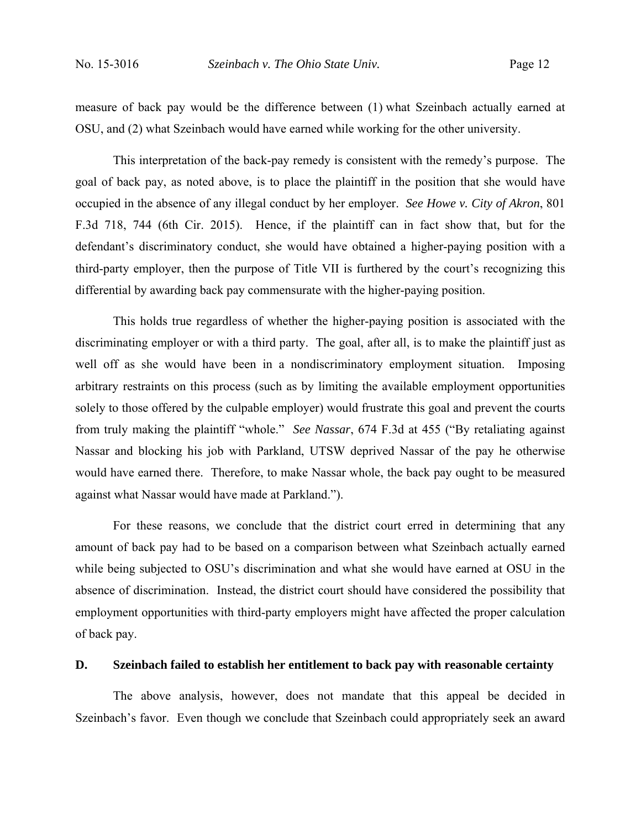measure of back pay would be the difference between (1) what Szeinbach actually earned at OSU, and (2) what Szeinbach would have earned while working for the other university.

This interpretation of the back-pay remedy is consistent with the remedy's purpose. The goal of back pay, as noted above, is to place the plaintiff in the position that she would have occupied in the absence of any illegal conduct by her employer. *See Howe v. City of Akron*, 801 F.3d 718, 744 (6th Cir. 2015). Hence, if the plaintiff can in fact show that, but for the defendant's discriminatory conduct, she would have obtained a higher-paying position with a third-party employer, then the purpose of Title VII is furthered by the court's recognizing this differential by awarding back pay commensurate with the higher-paying position.

This holds true regardless of whether the higher-paying position is associated with the discriminating employer or with a third party. The goal, after all, is to make the plaintiff just as well off as she would have been in a nondiscriminatory employment situation. Imposing arbitrary restraints on this process (such as by limiting the available employment opportunities solely to those offered by the culpable employer) would frustrate this goal and prevent the courts from truly making the plaintiff "whole." *See Nassar*, 674 F.3d at 455 ("By retaliating against Nassar and blocking his job with Parkland, UTSW deprived Nassar of the pay he otherwise would have earned there. Therefore, to make Nassar whole, the back pay ought to be measured against what Nassar would have made at Parkland.").

For these reasons, we conclude that the district court erred in determining that any amount of back pay had to be based on a comparison between what Szeinbach actually earned while being subjected to OSU's discrimination and what she would have earned at OSU in the absence of discrimination. Instead, the district court should have considered the possibility that employment opportunities with third-party employers might have affected the proper calculation of back pay.

### **D. Szeinbach failed to establish her entitlement to back pay with reasonable certainty**

The above analysis, however, does not mandate that this appeal be decided in Szeinbach's favor. Even though we conclude that Szeinbach could appropriately seek an award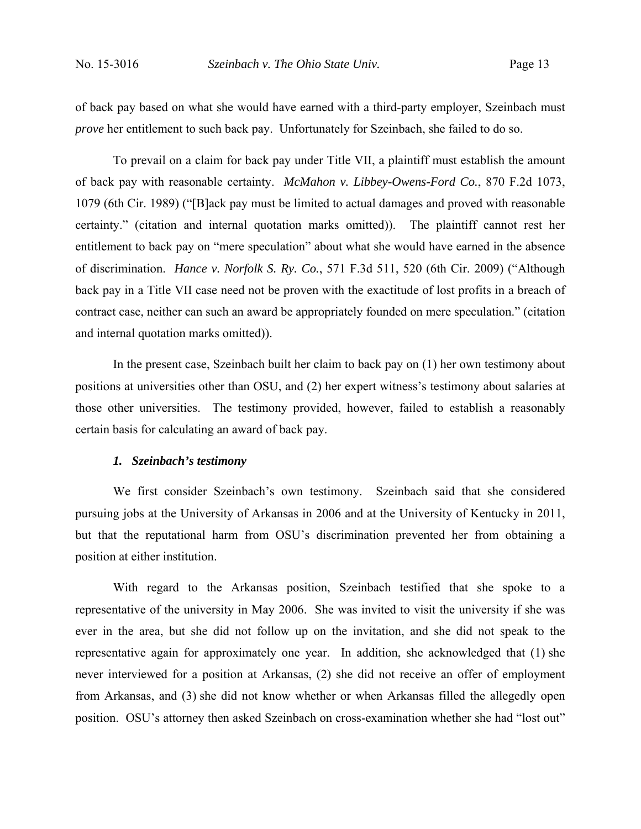of back pay based on what she would have earned with a third-party employer, Szeinbach must *prove* her entitlement to such back pay. Unfortunately for Szeinbach, she failed to do so.

To prevail on a claim for back pay under Title VII, a plaintiff must establish the amount of back pay with reasonable certainty. *McMahon v. Libbey-Owens-Ford Co.*, 870 F.2d 1073, 1079 (6th Cir. 1989) ("[B]ack pay must be limited to actual damages and proved with reasonable certainty." (citation and internal quotation marks omitted)). The plaintiff cannot rest her entitlement to back pay on "mere speculation" about what she would have earned in the absence of discrimination. *Hance v. Norfolk S. Ry. Co.*, 571 F.3d 511, 520 (6th Cir. 2009) ("Although back pay in a Title VII case need not be proven with the exactitude of lost profits in a breach of contract case, neither can such an award be appropriately founded on mere speculation." (citation and internal quotation marks omitted)).

In the present case, Szeinbach built her claim to back pay on (1) her own testimony about positions at universities other than OSU, and (2) her expert witness's testimony about salaries at those other universities. The testimony provided, however, failed to establish a reasonably certain basis for calculating an award of back pay.

### *1. Szeinbach's testimony*

We first consider Szeinbach's own testimony. Szeinbach said that she considered pursuing jobs at the University of Arkansas in 2006 and at the University of Kentucky in 2011, but that the reputational harm from OSU's discrimination prevented her from obtaining a position at either institution.

With regard to the Arkansas position, Szeinbach testified that she spoke to a representative of the university in May 2006. She was invited to visit the university if she was ever in the area, but she did not follow up on the invitation, and she did not speak to the representative again for approximately one year. In addition, she acknowledged that (1) she never interviewed for a position at Arkansas, (2) she did not receive an offer of employment from Arkansas, and (3) she did not know whether or when Arkansas filled the allegedly open position. OSU's attorney then asked Szeinbach on cross-examination whether she had "lost out"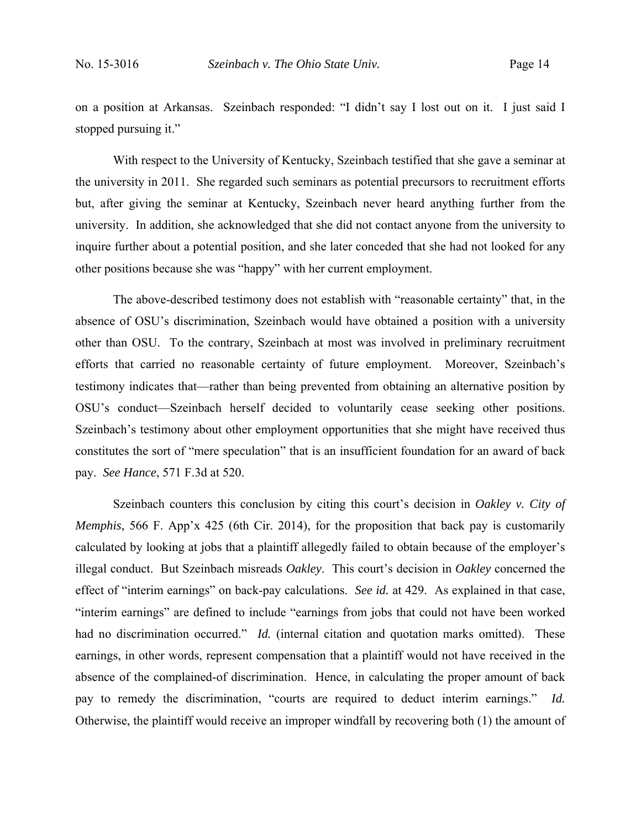on a position at Arkansas. Szeinbach responded: "I didn't say I lost out on it. I just said I stopped pursuing it."

With respect to the University of Kentucky, Szeinbach testified that she gave a seminar at the university in 2011. She regarded such seminars as potential precursors to recruitment efforts but, after giving the seminar at Kentucky, Szeinbach never heard anything further from the university. In addition, she acknowledged that she did not contact anyone from the university to inquire further about a potential position, and she later conceded that she had not looked for any other positions because she was "happy" with her current employment.

The above-described testimony does not establish with "reasonable certainty" that, in the absence of OSU's discrimination, Szeinbach would have obtained a position with a university other than OSU. To the contrary, Szeinbach at most was involved in preliminary recruitment efforts that carried no reasonable certainty of future employment. Moreover, Szeinbach's testimony indicates that—rather than being prevented from obtaining an alternative position by OSU's conduct—Szeinbach herself decided to voluntarily cease seeking other positions. Szeinbach's testimony about other employment opportunities that she might have received thus constitutes the sort of "mere speculation" that is an insufficient foundation for an award of back pay. *See Hance*, 571 F.3d at 520.

Szeinbach counters this conclusion by citing this court's decision in *Oakley v. City of Memphis*, 566 F. App'x 425 (6th Cir. 2014), for the proposition that back pay is customarily calculated by looking at jobs that a plaintiff allegedly failed to obtain because of the employer's illegal conduct. But Szeinbach misreads *Oakley*. This court's decision in *Oakley* concerned the effect of "interim earnings" on back-pay calculations. *See id.* at 429. As explained in that case, "interim earnings" are defined to include "earnings from jobs that could not have been worked had no discrimination occurred." *Id.* (internal citation and quotation marks omitted). These earnings, in other words, represent compensation that a plaintiff would not have received in the absence of the complained-of discrimination. Hence, in calculating the proper amount of back pay to remedy the discrimination, "courts are required to deduct interim earnings." *Id.* Otherwise, the plaintiff would receive an improper windfall by recovering both (1) the amount of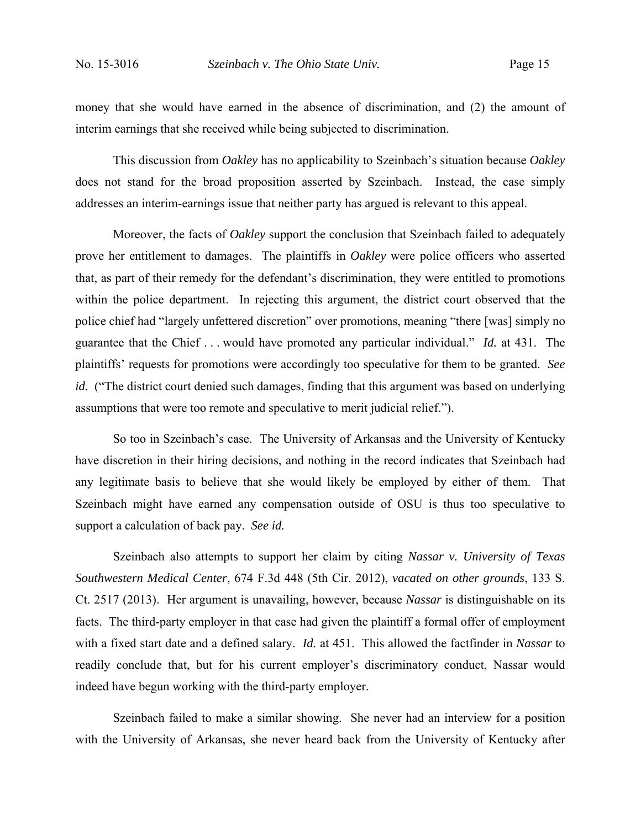money that she would have earned in the absence of discrimination, and (2) the amount of interim earnings that she received while being subjected to discrimination.

This discussion from *Oakley* has no applicability to Szeinbach's situation because *Oakley* does not stand for the broad proposition asserted by Szeinbach. Instead, the case simply addresses an interim-earnings issue that neither party has argued is relevant to this appeal.

Moreover, the facts of *Oakley* support the conclusion that Szeinbach failed to adequately prove her entitlement to damages. The plaintiffs in *Oakley* were police officers who asserted that, as part of their remedy for the defendant's discrimination, they were entitled to promotions within the police department. In rejecting this argument, the district court observed that the police chief had "largely unfettered discretion" over promotions, meaning "there [was] simply no guarantee that the Chief . . . would have promoted any particular individual." *Id.* at 431. The plaintiffs' requests for promotions were accordingly too speculative for them to be granted. *See id.* ("The district court denied such damages, finding that this argument was based on underlying assumptions that were too remote and speculative to merit judicial relief.").

So too in Szeinbach's case. The University of Arkansas and the University of Kentucky have discretion in their hiring decisions, and nothing in the record indicates that Szeinbach had any legitimate basis to believe that she would likely be employed by either of them. That Szeinbach might have earned any compensation outside of OSU is thus too speculative to support a calculation of back pay. *See id.*

Szeinbach also attempts to support her claim by citing *Nassar v. University of Texas Southwestern Medical Center*, 674 F.3d 448 (5th Cir. 2012), *vacated on other grounds*, 133 S. Ct. 2517 (2013). Her argument is unavailing, however, because *Nassar* is distinguishable on its facts. The third-party employer in that case had given the plaintiff a formal offer of employment with a fixed start date and a defined salary. *Id.* at 451. This allowed the factfinder in *Nassar* to readily conclude that, but for his current employer's discriminatory conduct, Nassar would indeed have begun working with the third-party employer.

Szeinbach failed to make a similar showing. She never had an interview for a position with the University of Arkansas, she never heard back from the University of Kentucky after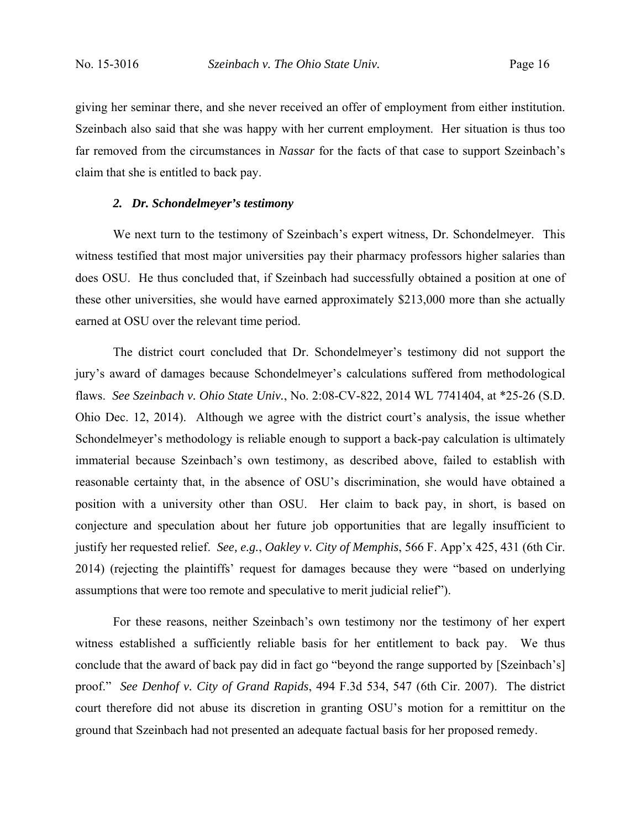giving her seminar there, and she never received an offer of employment from either institution. Szeinbach also said that she was happy with her current employment. Her situation is thus too far removed from the circumstances in *Nassar* for the facts of that case to support Szeinbach's claim that she is entitled to back pay.

#### *2. Dr. Schondelmeyer's testimony*

We next turn to the testimony of Szeinbach's expert witness, Dr. Schondelmeyer. This witness testified that most major universities pay their pharmacy professors higher salaries than does OSU. He thus concluded that, if Szeinbach had successfully obtained a position at one of these other universities, she would have earned approximately \$213,000 more than she actually earned at OSU over the relevant time period.

The district court concluded that Dr. Schondelmeyer's testimony did not support the jury's award of damages because Schondelmeyer's calculations suffered from methodological flaws. *See Szeinbach v. Ohio State Univ.*, No. 2:08-CV-822, 2014 WL 7741404, at \*25-26 (S.D. Ohio Dec. 12, 2014). Although we agree with the district court's analysis, the issue whether Schondelmeyer's methodology is reliable enough to support a back-pay calculation is ultimately immaterial because Szeinbach's own testimony, as described above, failed to establish with reasonable certainty that, in the absence of OSU's discrimination, she would have obtained a position with a university other than OSU. Her claim to back pay, in short, is based on conjecture and speculation about her future job opportunities that are legally insufficient to justify her requested relief. *See, e.g.*, *Oakley v. City of Memphis*, 566 F. App'x 425, 431 (6th Cir. 2014) (rejecting the plaintiffs' request for damages because they were "based on underlying assumptions that were too remote and speculative to merit judicial relief").

For these reasons, neither Szeinbach's own testimony nor the testimony of her expert witness established a sufficiently reliable basis for her entitlement to back pay. We thus conclude that the award of back pay did in fact go "beyond the range supported by [Szeinbach's] proof." *See Denhof v. City of Grand Rapids*, 494 F.3d 534, 547 (6th Cir. 2007). The district court therefore did not abuse its discretion in granting OSU's motion for a remittitur on the ground that Szeinbach had not presented an adequate factual basis for her proposed remedy.